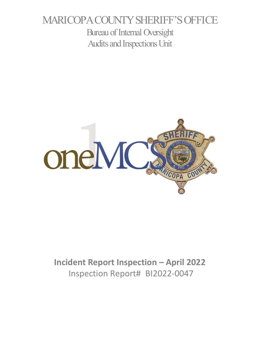# MARICOPA COUNTY SHERIFF'S OFFICE Bureau of Internal Oversight Audits and Inspections Unit



# **Incident Report Inspection – April 2022** Inspection Report# BI2022-0047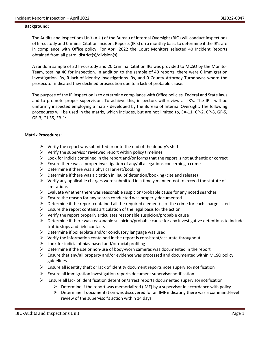#### **Background:**

The Audits and Inspections Unit (AIU) of the Bureau of Internal Oversight (BIO) will conduct inspections of In-custody and Criminal Citation Incident Reports (IR's) on a monthly basis to determine if the IR's are in compliance with Office policy. For April 2022 the Court Monitors selected 40 Incident Reports obtained from all patrol district(s)/division(s).

A random sample of 20 In-custody and 20 Criminal Citation IRs was provided to MCSO by the Monitor Team, totaling 40 for inspection. In addition to the sample of 40 reports, there were **0** immigration investigation IRs, **0** lack of identity investigations IRs, and **0** County Attorney Turndowns where the prosecutor indicated they declined prosecution due to a lack of probable cause.

The purpose of the IR inspection is to determine compliance with Office policies, Federal and State laws and to promote proper supervision. To achieve this, inspectors will review all IR's. The IR's will be uniformly inspected employing a matrix developed by the Bureau of Internal Oversight. The following procedures will be used in the matrix, which includes, but are not limited to, EA-11, CP-2, CP-8, GF-5, GE-3, GJ-35, EB-1:

#### **Matrix Procedures:**

- $\triangleright$  Verify the report was submitted prior to the end of the deputy's shift
- $\triangleright$  Verify the supervisor reviewed report within policy timelines
- $\triangleright$  Look for indicia contained in the report and/or forms that the report is not authentic or correct
- Ensure there was a proper investigation of any/all allegations concerning a crime
- $\triangleright$  Determine if there was a physical arrest/booking
- $\triangleright$  Determine if there was a citation in lieu of detention/booking (cite and release)
- $\triangleright$  Verify any applicable charges were submitted in a timely manner, not to exceed the statute of limitations
- $\triangleright$  Evaluate whether there was reasonable suspicion/probable cause for any noted searches
- $\triangleright$  Ensure the reason for any search conducted was properly documented
- $\triangleright$  Determine if the report contained all the required element(s) of the crime for each charge listed
- $\triangleright$  Ensure the report contains articulation of the legal basis for the action
- $\triangleright$  Verify the report properly articulates reasonable suspicion/probable cause
- $\triangleright$  Determine if there was reasonable suspicion/probable cause for any investigative detentions to include traffic stops and field contacts
- $\triangleright$  Determine if boilerplate and/or conclusory language was used
- $\triangleright$  Verify the information contained in the report is consistent/accurate throughout
- $\triangleright$  Look for indicia of bias-based and/or racial profiling
- $\triangleright$  Determine if the use or non-use of body-worn cameras was documented in the report
- $\triangleright$  Ensure that any/all property and/or evidence was processed and documented within MCSO policy guidelines
- $\triangleright$  Ensure all identity theft or lack of identity document reports note supervisor notification
- $\triangleright$  Ensure all immigration investigation reports document supervisor notification
- $\triangleright$  Ensure all lack of identification detention/arrest reports documented supervisornotification
	- $\triangleright$  Determine if the report was memorialized (IMF) by a supervisor in accordance with policy
	- $\triangleright$  Determine if documentation was discovered for an IMF indicating there was a command-level review of the supervisor's action within 14 days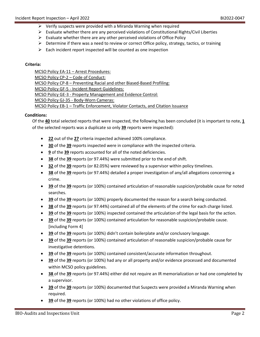- $\triangleright$  Verify suspects were provided with a Miranda Warning when required
- $\triangleright$  Evaluate whether there are any perceived violations of Constitutional Rights/Civil Liberties
- $\triangleright$  Evaluate whether there are any other perceived violations of Office Policy
- $\triangleright$  Determine if there was a need to review or correct Office policy, strategy, tactics, or training
- $\triangleright$  Each incident report inspected will be counted as one inspection

### **Criteria:**

MCSO Policy EA-11 – Arrest Procedures: MCSO Policy CP-2 – Code of Conduct: MCSO Policy CP-8 – Preventing Racial and other Biased-Based Profiling: MCSO Policy GF-5 - Incident Report Guidelines: MCSO Policy GE-3 - Property Management and Evidence Control: MCSO Policy GJ-35 - Body-Worn Cameras: MCSO Policy EB-1 – Traffic Enforcement, Violator Contacts, and Citation Issuance

### **Conditions:**

Of the **40** total selected reports that were inspected, the following has been concluded (it is important to note, **1** of the selected reports was a duplicate so only **39** reports were inspected):

- **22** out of the **27** criteria inspected achieved 100% compliance.
- **30** of the **39** reports inspected were in compliance with the inspected criteria.
- **9** of the **39** reports accounted for all of the noted deficiencies.
- **38** of the **39** reports (or 97.44%) were submitted prior to the end of shift.
- **32** of the **39** reports (or 82.05%) were reviewed by a supervisor within policy timelines.
- **38** of the **39** reports (or 97.44%) detailed a proper investigation of any/all allegations concerning a crime.
- **39** of the **39** reports (or 100%) contained articulation of reasonable suspicion/probable cause for noted searches.
- **39** of the **39** reports (or 100%) properly documented the reason for a search being conducted.
- **38** of the **39** reports (or 97.44%) contained all of the elements of the crime for each charge listed.
- **39** of the **39** reports (or 100%) inspected contained the articulation of the legal basis for the action.
- **39** of the **39** reports (or 100%) contained articulation for reasonable suspicion/probable cause. [including Form 4]
- **39** of the **39** reports (or 100%) didn't contain boilerplate and/or conclusory language.
- **39** of the **39** reports (or 100%) contained articulation of reasonable suspicion/probable cause for investigative detentions.
- **39** of the **39** reports (or 100%) contained consistent/accurate information throughout.
- **39** of the **39** reports (or 100%) had any or all property and/or evidence processed and documented within MCSO policy guidelines.
- **38** of the **39** reports (or 97.44%) either did not require an IR memorialization or had one completed by a supervisor.
- **39** of the **39** reports (or 100%) documented that Suspects were provided a Miranda Warning when required.
- **39** of the **39** reports (or 100%) had no other violations of office policy.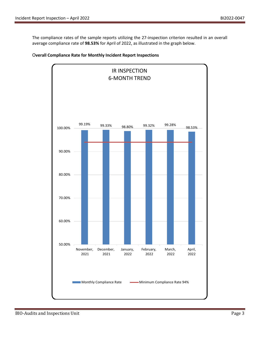The compliance rates of the sample reports utilizing the 27-inspection criterion resulted in an overall average compliance rate of **98.53%** for April of 2022, as illustrated in the graph below.



### O**verall Compliance Rate for Monthly Incident Report Inspections**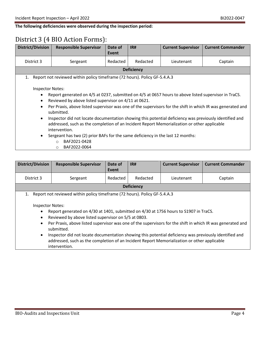### **The following deficiencies were observed during the inspection period:**

# District 3 (4 BIO Action Forms):

| <b>District/Division</b> | <b>Responsible Supervisor</b>                                                                                            | Date of  | IR#               | <b>Current Supervisor</b> | <b>Current Commander</b> |  |
|--------------------------|--------------------------------------------------------------------------------------------------------------------------|----------|-------------------|---------------------------|--------------------------|--|
|                          |                                                                                                                          | Event    |                   |                           |                          |  |
| District 3               | Sergeant                                                                                                                 | Redacted | Redacted          | Lieutenant                | Captain                  |  |
|                          |                                                                                                                          |          | <b>Deficiency</b> |                           |                          |  |
| 1.                       | Report not reviewed within policy timeframe (72 hours). Policy GF-5.4.A.3                                                |          |                   |                           |                          |  |
|                          |                                                                                                                          |          |                   |                           |                          |  |
| <b>Inspector Notes:</b>  |                                                                                                                          |          |                   |                           |                          |  |
| $\bullet$                | Report generated on 4/5 at 0237, submitted on 4/5 at 0657 hours to above listed supervisor in TraCS.                     |          |                   |                           |                          |  |
| $\bullet$                | Reviewed by above listed supervisor on 4/11 at 0621.                                                                     |          |                   |                           |                          |  |
| $\bullet$                | Per Praxis, above listed supervisor was one of the supervisors for the shift in which IR was generated and<br>submitted. |          |                   |                           |                          |  |
| ٠                        | Inspector did not locate documentation showing this potential deficiency was previously identified and                   |          |                   |                           |                          |  |
|                          | addressed, such as the completion of an Incident Report Memorialization or other applicable                              |          |                   |                           |                          |  |
|                          |                                                                                                                          |          |                   |                           |                          |  |
|                          | intervention.                                                                                                            |          |                   |                           |                          |  |
| $\bullet$                | Sergeant has two (2) prior BAFs for the same deficiency in the last 12 months:                                           |          |                   |                           |                          |  |
|                          | BAF2021-0428<br>$\bigcirc$                                                                                               |          |                   |                           |                          |  |
|                          | BAF2022-0064<br>$\circ$                                                                                                  |          |                   |                           |                          |  |

| <b>District/Division</b>                                                                                                                                                                                                                                                                                                                                                                                                                                                                                                           | <b>Responsible Supervisor</b> | Date of<br>Event | IR#      | <b>Current Supervisor</b> | <b>Current Commander</b> |
|------------------------------------------------------------------------------------------------------------------------------------------------------------------------------------------------------------------------------------------------------------------------------------------------------------------------------------------------------------------------------------------------------------------------------------------------------------------------------------------------------------------------------------|-------------------------------|------------------|----------|---------------------------|--------------------------|
| District 3                                                                                                                                                                                                                                                                                                                                                                                                                                                                                                                         | Sergeant                      | Redacted         | Redacted | Lieutenant                | Captain                  |
| <b>Deficiency</b>                                                                                                                                                                                                                                                                                                                                                                                                                                                                                                                  |                               |                  |          |                           |                          |
| Report not reviewed within policy timeframe (72 hours). Policy GF-5.4.A.3<br>1.                                                                                                                                                                                                                                                                                                                                                                                                                                                    |                               |                  |          |                           |                          |
| Inspector Notes:<br>Report generated on 4/30 at 1401, submitted on 4/30 at 1756 hours to S1907 in TraCS.<br>Reviewed by above listed supervisor on 5/5 at 0803.<br>Per Praxis, above listed supervisor was one of the supervisors for the shift in which IR was generated and<br>submitted.<br>Inspector did not locate documentation showing this potential deficiency was previously identified and<br>$\bullet$<br>addressed, such as the completion of an Incident Report Memorialization or other applicable<br>intervention. |                               |                  |          |                           |                          |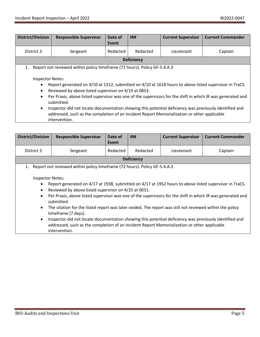| <b>District/Division</b>                                                                                                                                                                                                                                                                                                                                                                                                                                                                                                                                                                                                                                              | <b>Responsible Supervisor</b> | Date of<br>Event | IR#      | <b>Current Supervisor</b> | <b>Current Commander</b> |
|-----------------------------------------------------------------------------------------------------------------------------------------------------------------------------------------------------------------------------------------------------------------------------------------------------------------------------------------------------------------------------------------------------------------------------------------------------------------------------------------------------------------------------------------------------------------------------------------------------------------------------------------------------------------------|-------------------------------|------------------|----------|---------------------------|--------------------------|
| District 3                                                                                                                                                                                                                                                                                                                                                                                                                                                                                                                                                                                                                                                            | Sergeant                      | Redacted         | Redacted | Lieutenant                | Captain                  |
| <b>Deficiency</b>                                                                                                                                                                                                                                                                                                                                                                                                                                                                                                                                                                                                                                                     |                               |                  |          |                           |                          |
| Report not reviewed within policy timeframe (72 hours). Policy GF-5.4.A.3<br>1.<br><b>Inspector Notes:</b><br>Report generated on 4/10 at 1312, submitted on 4/10 at 1618 hours to above listed supervisor in TraCS.<br>$\bullet$<br>Reviewed by above listed supervisor on 4/19 at 0853.<br>$\bullet$<br>Per Praxis, above listed supervisor was one of the supervisors for the shift in which IR was generated and<br>$\bullet$<br>submitted.<br>Inspector did not locate documentation showing this potential deficiency was previously identified and<br>$\bullet$<br>addressed, such as the completion of an Incident Report Memorialization or other applicable |                               |                  |          |                           |                          |

intervention.

| <b>District/Division</b>                                      | <b>Responsible Supervisor</b>                                                                                                                                                                                                                                                                                                                                                                                                                                                                                                                                                                                                                                                      | Date of  | IR#               | <b>Current Supervisor</b> | <b>Current Commander</b> |
|---------------------------------------------------------------|------------------------------------------------------------------------------------------------------------------------------------------------------------------------------------------------------------------------------------------------------------------------------------------------------------------------------------------------------------------------------------------------------------------------------------------------------------------------------------------------------------------------------------------------------------------------------------------------------------------------------------------------------------------------------------|----------|-------------------|---------------------------|--------------------------|
|                                                               |                                                                                                                                                                                                                                                                                                                                                                                                                                                                                                                                                                                                                                                                                    | Event    |                   |                           |                          |
| District 3                                                    | Sergeant                                                                                                                                                                                                                                                                                                                                                                                                                                                                                                                                                                                                                                                                           | Redacted | Redacted          | Lieutenant                | Captain                  |
|                                                               |                                                                                                                                                                                                                                                                                                                                                                                                                                                                                                                                                                                                                                                                                    |          | <b>Deficiency</b> |                           |                          |
| 1.                                                            | Report not reviewed within policy timeframe (72 hours). Policy GF-5.4.A.3                                                                                                                                                                                                                                                                                                                                                                                                                                                                                                                                                                                                          |          |                   |                           |                          |
| $\bullet$<br>$\bullet$<br>$\bullet$<br>$\bullet$<br>$\bullet$ | <b>Inspector Notes:</b><br>Report generated on 4/17 at 1938, submitted on 4/17 at 1952 hours to above listed supervisor in TraCS.<br>Reviewed by above listed supervisor on 4/25 at 0031.<br>Per Praxis, above listed supervisor was one of the supervisors for the shift in which IR was generated and<br>submitted.<br>The citation for the listed report was later voided. The report was still not reviewed within the policy<br>timeframe (7 days).<br>Inspector did not locate documentation showing this potential deficiency was previously identified and<br>addressed, such as the completion of an Incident Report Memorialization or other applicable<br>intervention. |          |                   |                           |                          |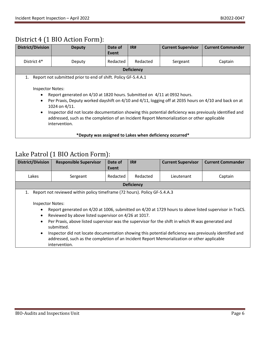# District 4 (1 BIO Action Form):

| <b>District/Division</b>                                                                                                                                                                                                                                                                                                                                                                                                                                                               | <b>Deputy</b>                                                 | Date of<br>Event | IR#               | <b>Current Supervisor</b> | <b>Current Commander</b> |
|----------------------------------------------------------------------------------------------------------------------------------------------------------------------------------------------------------------------------------------------------------------------------------------------------------------------------------------------------------------------------------------------------------------------------------------------------------------------------------------|---------------------------------------------------------------|------------------|-------------------|---------------------------|--------------------------|
| District 4*                                                                                                                                                                                                                                                                                                                                                                                                                                                                            | Deputy                                                        | Redacted         | Redacted          | Sergeant                  | Captain                  |
|                                                                                                                                                                                                                                                                                                                                                                                                                                                                                        |                                                               |                  | <b>Deficiency</b> |                           |                          |
| 1.                                                                                                                                                                                                                                                                                                                                                                                                                                                                                     | Report not submitted prior to end of shift. Policy GF-5.4.A.1 |                  |                   |                           |                          |
| <b>Inspector Notes:</b><br>Report generated on 4/10 at 1820 hours. Submitted on 4/11 at 0932 hours.<br>$\bullet$<br>Per Praxis, Deputy worked dayshift on 4/10 and 4/11, logging off at 2035 hours on 4/10 and back on at<br>$\bullet$<br>1024 on 4/11.<br>Inspector did not locate documentation showing this potential deficiency was previously identified and<br>٠<br>addressed, such as the completion of an Incident Report Memorialization or other applicable<br>intervention. |                                                               |                  |                   |                           |                          |
| *Deputy was assigned to Lakes when deficiency occurred*                                                                                                                                                                                                                                                                                                                                                                                                                                |                                                               |                  |                   |                           |                          |

# Lake Patrol (1 BIO Action Form):

| <b>District/Division</b>                                                                                                                                                                                                                                                                                                                                                                                                                                                                                                                                                                    | <b>Responsible Supervisor</b>                                                | Date of<br>Event | IR#      | <b>Current Supervisor</b> | <b>Current Commander</b> |  |
|---------------------------------------------------------------------------------------------------------------------------------------------------------------------------------------------------------------------------------------------------------------------------------------------------------------------------------------------------------------------------------------------------------------------------------------------------------------------------------------------------------------------------------------------------------------------------------------------|------------------------------------------------------------------------------|------------------|----------|---------------------------|--------------------------|--|
| Lakes                                                                                                                                                                                                                                                                                                                                                                                                                                                                                                                                                                                       | Sergeant                                                                     | Redacted         | Redacted | Lieutenant                | Captain                  |  |
|                                                                                                                                                                                                                                                                                                                                                                                                                                                                                                                                                                                             | <b>Deficiency</b>                                                            |                  |          |                           |                          |  |
|                                                                                                                                                                                                                                                                                                                                                                                                                                                                                                                                                                                             | 1. Report not reviewed within policy timeframe (72 hours). Policy GF-5.4.A.3 |                  |          |                           |                          |  |
| <b>Inspector Notes:</b><br>Report generated on 4/20 at 1006, submitted on 4/20 at 1729 hours to above listed supervisor in TraCS.<br>$\bullet$<br>Reviewed by above listed supervisor on 4/26 at 1017.<br>$\bullet$<br>Per Praxis, above listed supervisor was the supervisor for the shift in which IR was generated and<br>$\bullet$<br>submitted.<br>Inspector did not locate documentation showing this potential deficiency was previously identified and<br>$\bullet$<br>addressed, such as the completion of an Incident Report Memorialization or other applicable<br>intervention. |                                                                              |                  |          |                           |                          |  |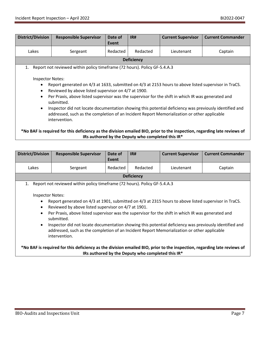| <b>District/Division</b>                                                                                                                                                                                                                                                                                                                                                                                                                                                                                                                                                                                                                                                    | <b>Responsible Supervisor</b> | Date of<br>Event | IR#               | <b>Current Supervisor</b> | <b>Current Commander</b> |
|-----------------------------------------------------------------------------------------------------------------------------------------------------------------------------------------------------------------------------------------------------------------------------------------------------------------------------------------------------------------------------------------------------------------------------------------------------------------------------------------------------------------------------------------------------------------------------------------------------------------------------------------------------------------------------|-------------------------------|------------------|-------------------|---------------------------|--------------------------|
| Lakes                                                                                                                                                                                                                                                                                                                                                                                                                                                                                                                                                                                                                                                                       | Sergeant                      | Redacted         | Redacted          | Lieutenant                | Captain                  |
|                                                                                                                                                                                                                                                                                                                                                                                                                                                                                                                                                                                                                                                                             |                               |                  | <b>Deficiency</b> |                           |                          |
| Report not reviewed within policy timeframe (72 hours). Policy GF-5.4.A.3<br>1.<br><b>Inspector Notes:</b><br>Report generated on 4/3 at 1633, submitted on 4/3 at 2153 hours to above listed supervisor in TraCS.<br>$\bullet$<br>Reviewed by above listed supervisor on 4/7 at 1900.<br>$\bullet$<br>Per Praxis, above listed supervisor was the supervisor for the shift in which IR was generated and<br>$\bullet$<br>submitted.<br>Inspector did not locate documentation showing this potential deficiency was previously identified and<br>$\bullet$<br>addressed, such as the completion of an Incident Report Memorialization or other applicable<br>intervention. |                               |                  |                   |                           |                          |
| *No BAF is required for this deficiency as the division emailed BIO, prior to the inspection, regarding late reviews of<br>IRs authored by the Deputy who completed this IR*                                                                                                                                                                                                                                                                                                                                                                                                                                                                                                |                               |                  |                   |                           |                          |

| <b>District/Division</b>                                                                                                                                                                                                                                                                                                                                                                                                                                                                                                                                                                 | <b>Responsible Supervisor</b> | Date of<br>Event | IR#      | <b>Current Supervisor</b> | <b>Current Commander</b> |
|------------------------------------------------------------------------------------------------------------------------------------------------------------------------------------------------------------------------------------------------------------------------------------------------------------------------------------------------------------------------------------------------------------------------------------------------------------------------------------------------------------------------------------------------------------------------------------------|-------------------------------|------------------|----------|---------------------------|--------------------------|
| Lakes                                                                                                                                                                                                                                                                                                                                                                                                                                                                                                                                                                                    | Sergeant                      | Redacted         | Redacted | Lieutenant                | Captain                  |
| <b>Deficiency</b>                                                                                                                                                                                                                                                                                                                                                                                                                                                                                                                                                                        |                               |                  |          |                           |                          |
| Report not reviewed within policy timeframe (72 hours). Policy GF-5.4.A.3<br>1.                                                                                                                                                                                                                                                                                                                                                                                                                                                                                                          |                               |                  |          |                           |                          |
| <b>Inspector Notes:</b><br>Report generated on 4/3 at 1901, submitted on 4/3 at 2315 hours to above listed supervisor in TraCS.<br>$\bullet$<br>Reviewed by above listed supervisor on 4/7 at 1901.<br>$\bullet$<br>Per Praxis, above listed supervisor was the supervisor for the shift in which IR was generated and<br>$\bullet$<br>submitted.<br>Inspector did not locate documentation showing this potential deficiency was previously identified and<br>$\bullet$<br>addressed, such as the completion of an Incident Report Memorialization or other applicable<br>intervention. |                               |                  |          |                           |                          |

**\*No BAF is required for this deficiency as the division emailed BIO, prior to the inspection, regarding late reviews of IRs authored by the Deputy who completed this IR\***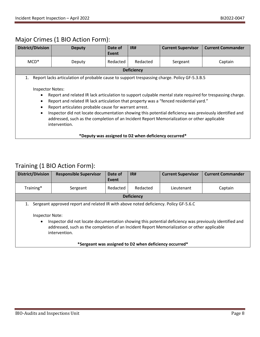## Major Crimes (1 BIO Action Form):

| <b>District/Division</b>                                                                                                                                                                                                                                                                                                                                                                                                                                                                                                                                                                                                             | <b>Deputy</b> | Date of<br>Event | IR#               | <b>Current Supervisor</b> | <b>Current Commander</b> |
|--------------------------------------------------------------------------------------------------------------------------------------------------------------------------------------------------------------------------------------------------------------------------------------------------------------------------------------------------------------------------------------------------------------------------------------------------------------------------------------------------------------------------------------------------------------------------------------------------------------------------------------|---------------|------------------|-------------------|---------------------------|--------------------------|
| $MCD^*$                                                                                                                                                                                                                                                                                                                                                                                                                                                                                                                                                                                                                              | Deputy        | Redacted         | Redacted          | Sergeant                  | Captain                  |
|                                                                                                                                                                                                                                                                                                                                                                                                                                                                                                                                                                                                                                      |               |                  | <b>Deficiency</b> |                           |                          |
| Report lacks articulation of probable cause to support trespassing charge. Policy GF-5.3.B.5<br>1.<br><b>Inspector Notes:</b><br>Report and related IR lack articulation to support culpable mental state required for trespassing charge.<br>Report and related IR lack articulation that property was a "fenced residential yard."<br>Report articulates probable cause for warrant arrest.<br>Inspector did not locate documentation showing this potential deficiency was previously identified and<br>$\bullet$<br>addressed, such as the completion of an Incident Report Memorialization or other applicable<br>intervention. |               |                  |                   |                           |                          |
| *Deputy was assigned to D2 when deficiency occurred*                                                                                                                                                                                                                                                                                                                                                                                                                                                                                                                                                                                 |               |                  |                   |                           |                          |

## Training (1 BIO Action Form):

| <b>District/Division</b>                                                                                                                                                                                                                                                                                                                             | <b>Responsible Supervisor</b> | Date of<br>Event | IR#               | <b>Current Supervisor</b> | <b>Current Commander</b> |
|------------------------------------------------------------------------------------------------------------------------------------------------------------------------------------------------------------------------------------------------------------------------------------------------------------------------------------------------------|-------------------------------|------------------|-------------------|---------------------------|--------------------------|
| Training*                                                                                                                                                                                                                                                                                                                                            | Sergeant                      | Redacted         | Redacted          | Lieutenant                | Captain                  |
|                                                                                                                                                                                                                                                                                                                                                      |                               |                  | <b>Deficiency</b> |                           |                          |
| Sergeant approved report and related IR with above noted deficiency. Policy GF-5.6.C<br>1.<br>Inspector Note:<br>Inspector did not locate documentation showing this potential deficiency was previously identified and<br>$\bullet$<br>addressed, such as the completion of an Incident Report Memorialization or other applicable<br>intervention. |                               |                  |                   |                           |                          |
| *Sergeant was assigned to D2 when deficiency occurred*                                                                                                                                                                                                                                                                                               |                               |                  |                   |                           |                          |